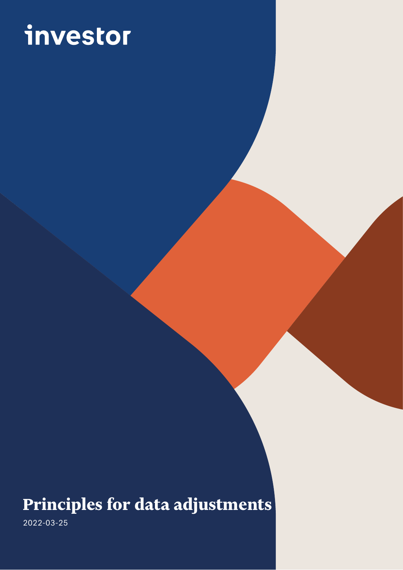# investor

# **Principles for data adjustments**

 $\overline{a}$ Arsenalsgatan 8C, SE-103 32 Stockholm, Sweden 2022-03-25